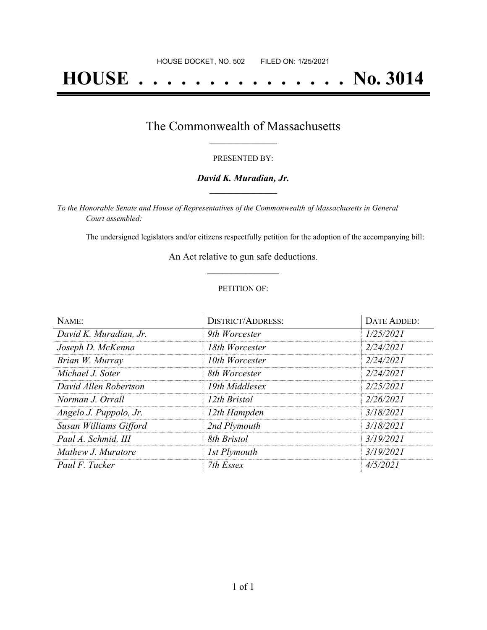# **HOUSE . . . . . . . . . . . . . . . No. 3014**

# The Commonwealth of Massachusetts **\_\_\_\_\_\_\_\_\_\_\_\_\_\_\_\_\_**

#### PRESENTED BY:

#### *David K. Muradian, Jr.* **\_\_\_\_\_\_\_\_\_\_\_\_\_\_\_\_\_**

*To the Honorable Senate and House of Representatives of the Commonwealth of Massachusetts in General Court assembled:*

The undersigned legislators and/or citizens respectfully petition for the adoption of the accompanying bill:

An Act relative to gun safe deductions. **\_\_\_\_\_\_\_\_\_\_\_\_\_\_\_**

#### PETITION OF:

| NAME:                  | <b>DISTRICT/ADDRESS:</b> | DATE ADDED: |
|------------------------|--------------------------|-------------|
| David K. Muradian, Jr. | 9th Worcester            | 1/25/2021   |
| Joseph D. McKenna      | 18th Worcester           | 2/24/2021   |
| Brian W. Murray        | 10th Worcester           | 2/24/2021   |
| Michael J. Soter       | 8th Worcester            | 2/24/2021   |
| David Allen Robertson  | 19th Middlesex           | 2/25/2021   |
| Norman J. Orrall       | 12th Bristol             | 2/26/2021   |
| Angelo J. Puppolo, Jr. | 12th Hampden             | 3/18/2021   |
| Susan Williams Gifford | 2nd Plymouth             | 3/18/2021   |
| Paul A. Schmid, III    | 8th Bristol              | 3/19/2021   |
| Mathew J. Muratore     | 1st Plymouth             | 3/19/2021   |
| Paul F. Tucker         | 7th Essex                | 4/5/2021    |